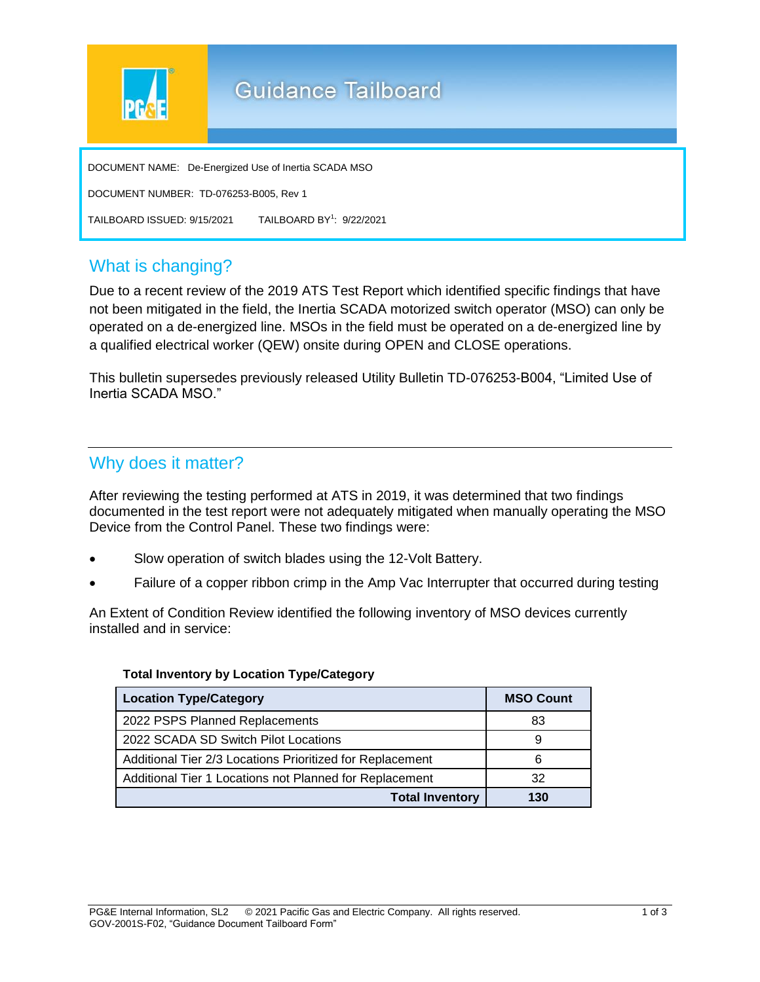

## What is changing?

Due to a recent review of the 2019 ATS Test Report which identified specific findings that have not been mitigated in the field, the Inertia SCADA motorized switch operator (MSO) can only be operated on a de-energized line. MSOs in the field must be operated on a de-energized line by a qualified electrical worker (QEW) onsite during OPEN and CLOSE operations.

This bulletin supersedes previously released Utility Bulletin TD-076253-B004, "Limited Use of Inertia SCADA MSO."

## Why does it matter?

After reviewing the testing performed at ATS in 2019, it was determined that two findings documented in the test report were not adequately mitigated when manually operating the MSO Device from the Control Panel. These two findings were:

- Slow operation of switch blades using the 12-Volt Battery.
- Failure of a copper ribbon crimp in the Amp Vac Interrupter that occurred during testing

An Extent of Condition Review identified the following inventory of MSO devices currently installed and in service:

| <b>Location Type/Category</b>                             | <b>MSO Count</b> |
|-----------------------------------------------------------|------------------|
| 2022 PSPS Planned Replacements                            | 83               |
| 2022 SCADA SD Switch Pilot Locations                      | 9                |
| Additional Tier 2/3 Locations Prioritized for Replacement | 6                |
| Additional Tier 1 Locations not Planned for Replacement   | 32               |
| <b>Total Inventory</b>                                    | 130              |

#### **Total Inventory by Location Type/Category**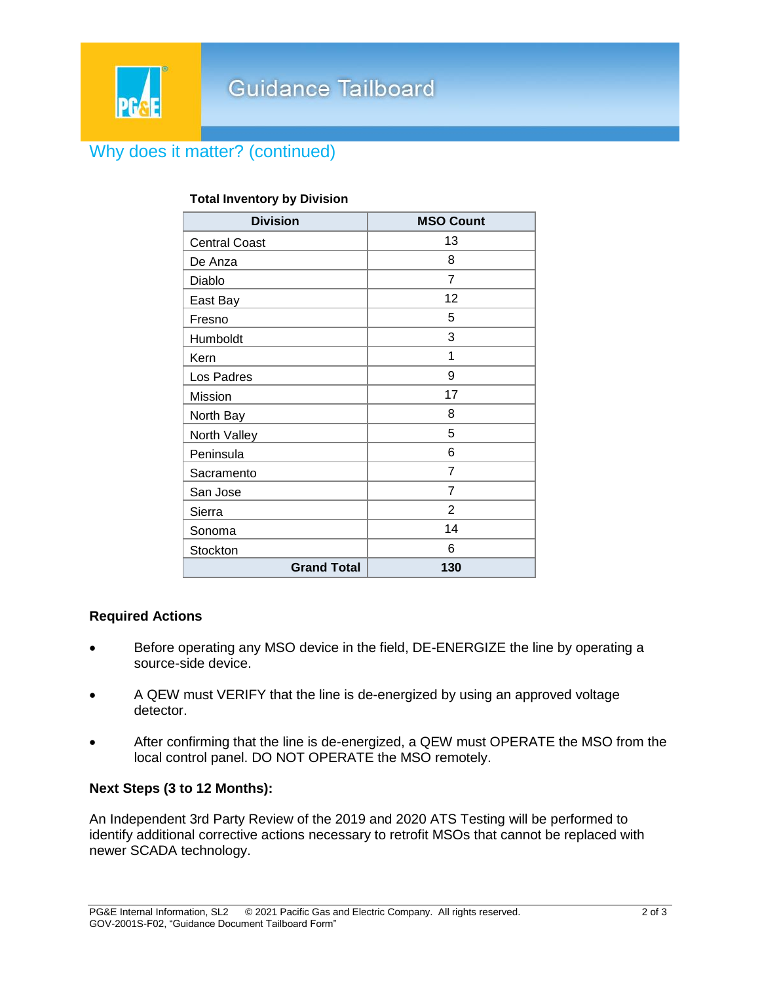## Why does it matter? (continued)

| <b>Division</b>      | <b>MSO Count</b> |
|----------------------|------------------|
| <b>Central Coast</b> | 13               |
| De Anza              | 8                |
| Diablo               | $\overline{7}$   |
| East Bay             | 12               |
| Fresno               | 5                |
| Humboldt             | 3                |
| Kern                 | 1                |
| Los Padres           | 9                |
| Mission              | 17               |
| North Bay            | 8                |
| North Valley         | 5                |
| Peninsula            | 6                |
| Sacramento           | 7                |
| San Jose             | 7                |
| Sierra               | $\overline{2}$   |
| Sonoma               | 14               |
| Stockton             | 6                |
| <b>Grand Total</b>   | 130              |

### **Total Inventory by Division**

#### **Required Actions**

- Before operating any MSO device in the field, DE-ENERGIZE the line by operating a source-side device.
- A QEW must VERIFY that the line is de-energized by using an approved voltage detector.
- After confirming that the line is de-energized, a QEW must OPERATE the MSO from the local control panel. DO NOT OPERATE the MSO remotely.

#### **Next Steps (3 to 12 Months):**

An Independent 3rd Party Review of the 2019 and 2020 ATS Testing will be performed to identify additional corrective actions necessary to retrofit MSOs that cannot be replaced with newer SCADA technology.